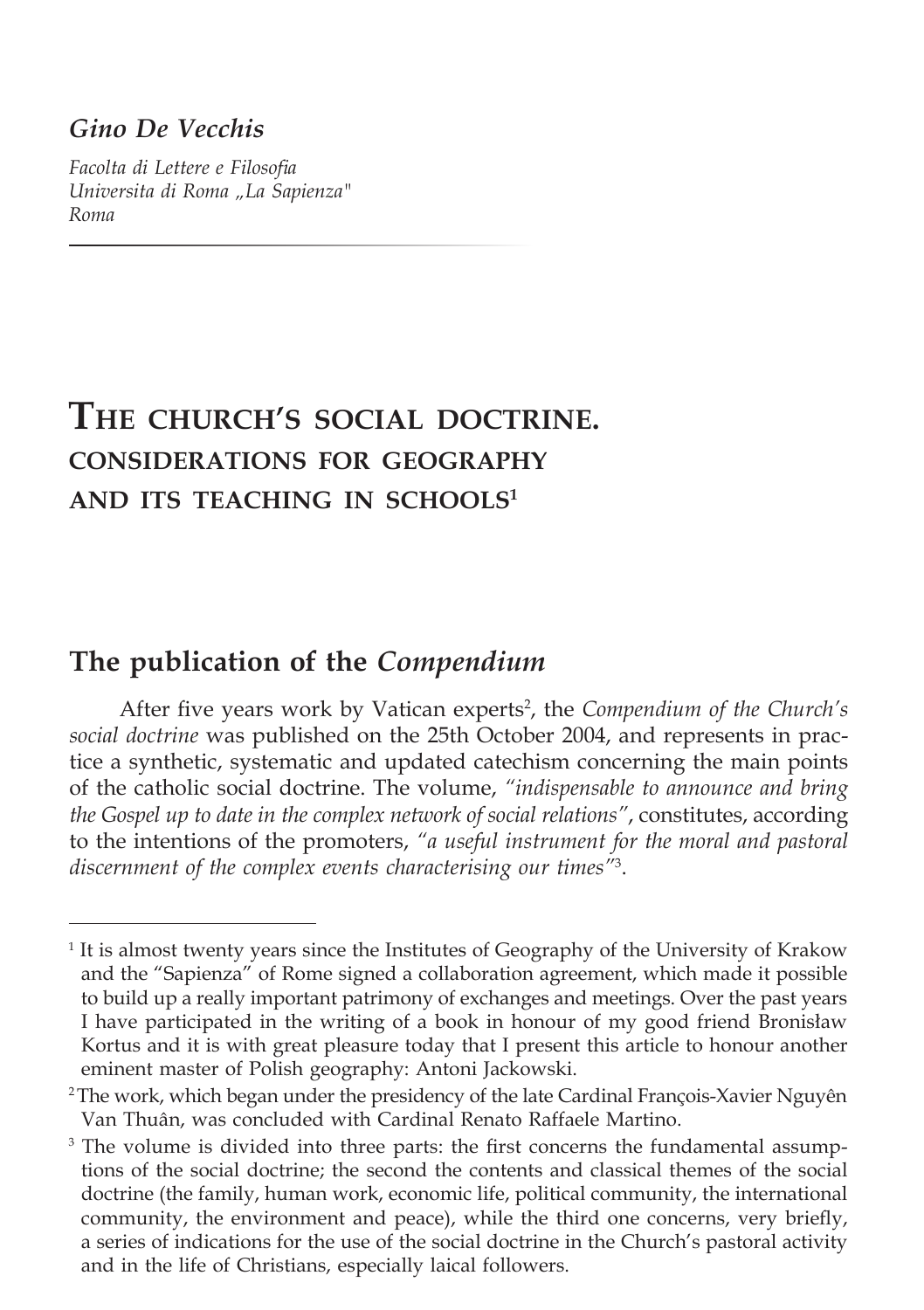## *Gino De Vecchis*

*Facolta di Lettere e Filosofia Universita di Roma "La Sapienza" Roma*

# **The church's social doctrine. considerations for geography and its teaching in schools<sup>1</sup>**

# **The publication of the** *Compendium*

After five years work by Vatican experts<sup>2</sup>, the *Compendium of the Church's social doctrine* was published on the 25th October 2004, and represents in practice a synthetic, systematic and updated catechism concerning the main points of the catholic social doctrine. The volume, *"indispensable to announce and bring the Gospel up to date in the complex network of social relations"*, constitutes, according to the intentions of the promoters, *"a useful instrument for the moral and pastoral discernment of the complex events characterising our times"*<sup>3</sup> .

<sup>&</sup>lt;sup>1</sup> It is almost twenty years since the Institutes of Geography of the University of Krakow and the "Sapienza" of Rome signed a collaboration agreement, which made it possible to build up a really important patrimony of exchanges and meetings. Over the past years I have participated in the writing of a book in honour of my good friend Bronisław Kortus and it is with great pleasure today that I present this article to honour another eminent master of Polish geography: Antoni Jackowski.

<sup>&</sup>lt;sup>2</sup>The work, which began under the presidency of the late Cardinal François-Xavier Nguyên Van Thuân, was concluded with Cardinal Renato Raffaele Martino.

<sup>&</sup>lt;sup>3</sup> The volume is divided into three parts: the first concerns the fundamental assumptions of the social doctrine; the second the contents and classical themes of the social doctrine (the family, human work, economic life, political community, the international community, the environment and peace), while the third one concerns, very briefly, a series of indications for the use of the social doctrine in the Church's pastoral activity and in the life of Christians, especially laical followers.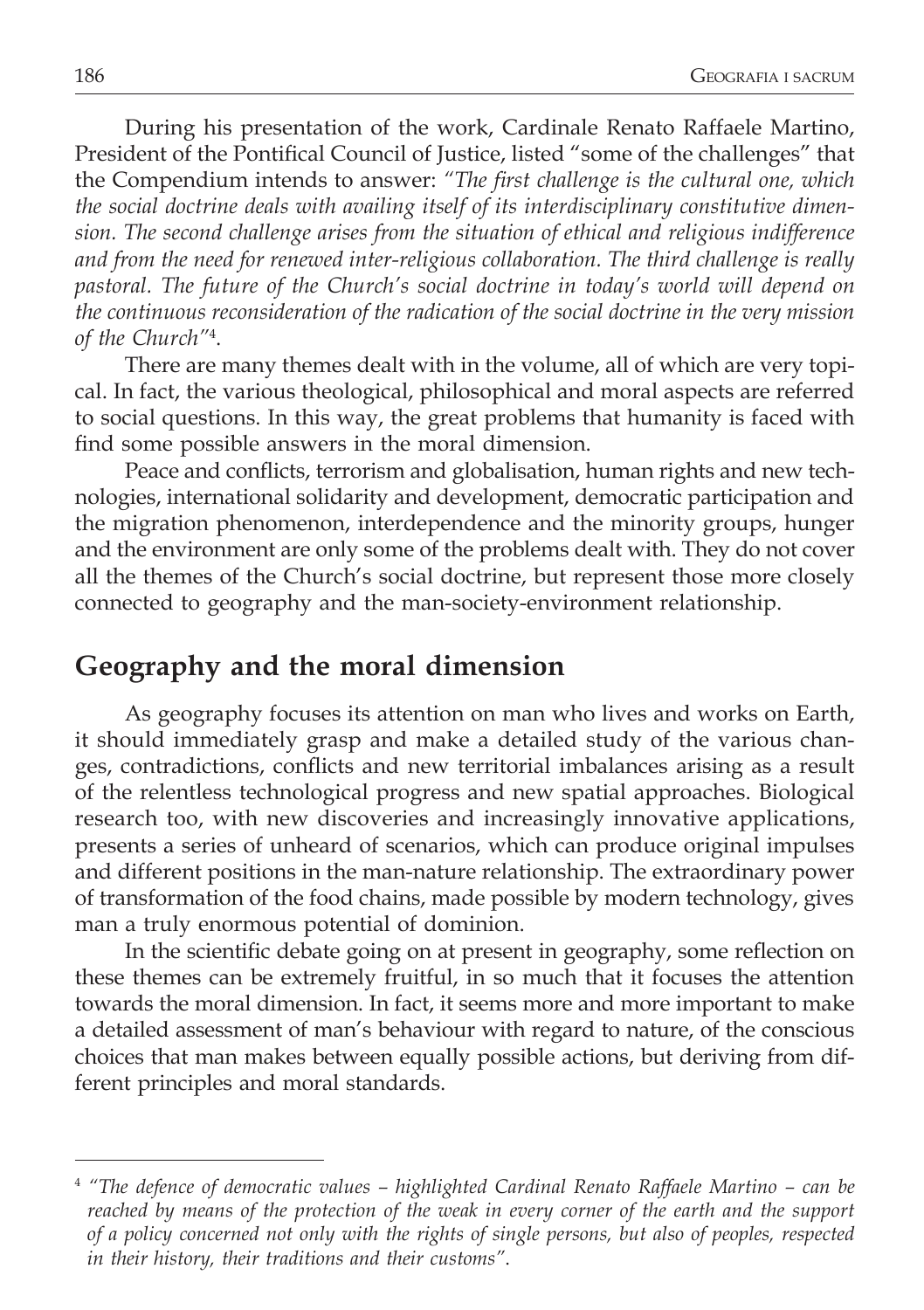During his presentation of the work, Cardinale Renato Raffaele Martino, President of the Pontifical Council of Justice, listed "some of the challenges" that the Compendium intends to answer: *"The first challenge is the cultural one, which the social doctrine deals with availing itself of its interdisciplinary constitutive dimension. The second challenge arises from the situation of ethical and religious indifference and from the need for renewed inter-religious collaboration. The third challenge is really pastoral. The future of the Church's social doctrine in today's world will depend on the continuous reconsideration of the radication of the social doctrine in the very mission of the Church"*<sup>4</sup> .

There are many themes dealt with in the volume, all of which are very topical. In fact, the various theological, philosophical and moral aspects are referred to social questions. In this way, the great problems that humanity is faced with find some possible answers in the moral dimension.

Peace and conflicts, terrorism and globalisation, human rights and new technologies, international solidarity and development, democratic participation and the migration phenomenon, interdependence and the minority groups, hunger and the environment are only some of the problems dealt with. They do not cover all the themes of the Church's social doctrine, but represent those more closely connected to geography and the man-society-environment relationship.

# **Geography and the moral dimension**

As geography focuses its attention on man who lives and works on Earth, it should immediately grasp and make a detailed study of the various changes, contradictions, conflicts and new territorial imbalances arising as a result of the relentless technological progress and new spatial approaches. Biological research too, with new discoveries and increasingly innovative applications, presents a series of unheard of scenarios, which can produce original impulses and different positions in the man-nature relationship. The extraordinary power of transformation of the food chains, made possible by modern technology, gives man a truly enormous potential of dominion.

In the scientific debate going on at present in geography, some reflection on these themes can be extremely fruitful, in so much that it focuses the attention towards the moral dimension. In fact, it seems more and more important to make a detailed assessment of man's behaviour with regard to nature, of the conscious choices that man makes between equally possible actions, but deriving from different principles and moral standards.

<sup>4</sup> *"The defence of democratic values – highlighted Cardinal Renato Raffaele Martino – can be reached by means of the protection of the weak in every corner of the earth and the support of a policy concerned not only with the rights of single persons, but also of peoples, respected in their history, their traditions and their customs"*.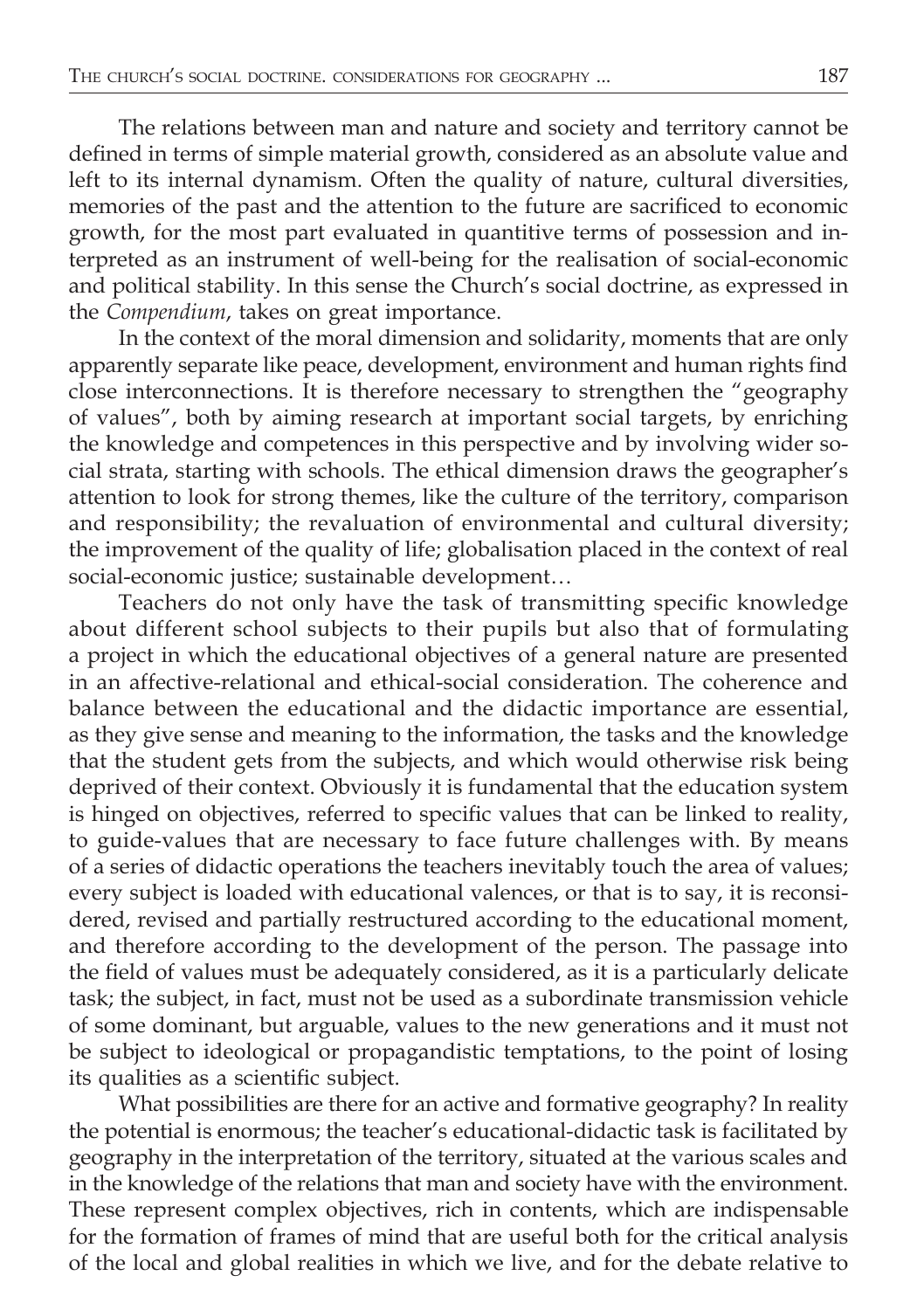The relations between man and nature and society and territory cannot be defined in terms of simple material growth, considered as an absolute value and left to its internal dynamism. Often the quality of nature, cultural diversities, memories of the past and the attention to the future are sacrificed to economic growth, for the most part evaluated in quantitive terms of possession and interpreted as an instrument of well-being for the realisation of social-economic and political stability. In this sense the Church's social doctrine, as expressed in the *Compendium*, takes on great importance.

In the context of the moral dimension and solidarity, moments that are only apparently separate like peace, development, environment and human rights find close interconnections. It is therefore necessary to strengthen the "geography of values", both by aiming research at important social targets, by enriching the knowledge and competences in this perspective and by involving wider social strata, starting with schools. The ethical dimension draws the geographer's attention to look for strong themes, like the culture of the territory, comparison and responsibility; the revaluation of environmental and cultural diversity; the improvement of the quality of life; globalisation placed in the context of real social-economic justice; sustainable development…

Teachers do not only have the task of transmitting specific knowledge about different school subjects to their pupils but also that of formulating a project in which the educational objectives of a general nature are presented in an affective-relational and ethical-social consideration. The coherence and balance between the educational and the didactic importance are essential, as they give sense and meaning to the information, the tasks and the knowledge that the student gets from the subjects, and which would otherwise risk being deprived of their context. Obviously it is fundamental that the education system is hinged on objectives, referred to specific values that can be linked to reality, to guide-values that are necessary to face future challenges with. By means of a series of didactic operations the teachers inevitably touch the area of values; every subject is loaded with educational valences, or that is to say, it is reconsidered, revised and partially restructured according to the educational moment, and therefore according to the development of the person. The passage into the field of values must be adequately considered, as it is a particularly delicate task; the subject, in fact, must not be used as a subordinate transmission vehicle of some dominant, but arguable, values to the new generations and it must not be subject to ideological or propagandistic temptations, to the point of losing its qualities as a scientific subject.

What possibilities are there for an active and formative geography? In reality the potential is enormous; the teacher's educational-didactic task is facilitated by geography in the interpretation of the territory, situated at the various scales and in the knowledge of the relations that man and society have with the environment. These represent complex objectives, rich in contents, which are indispensable for the formation of frames of mind that are useful both for the critical analysis of the local and global realities in which we live, and for the debate relative to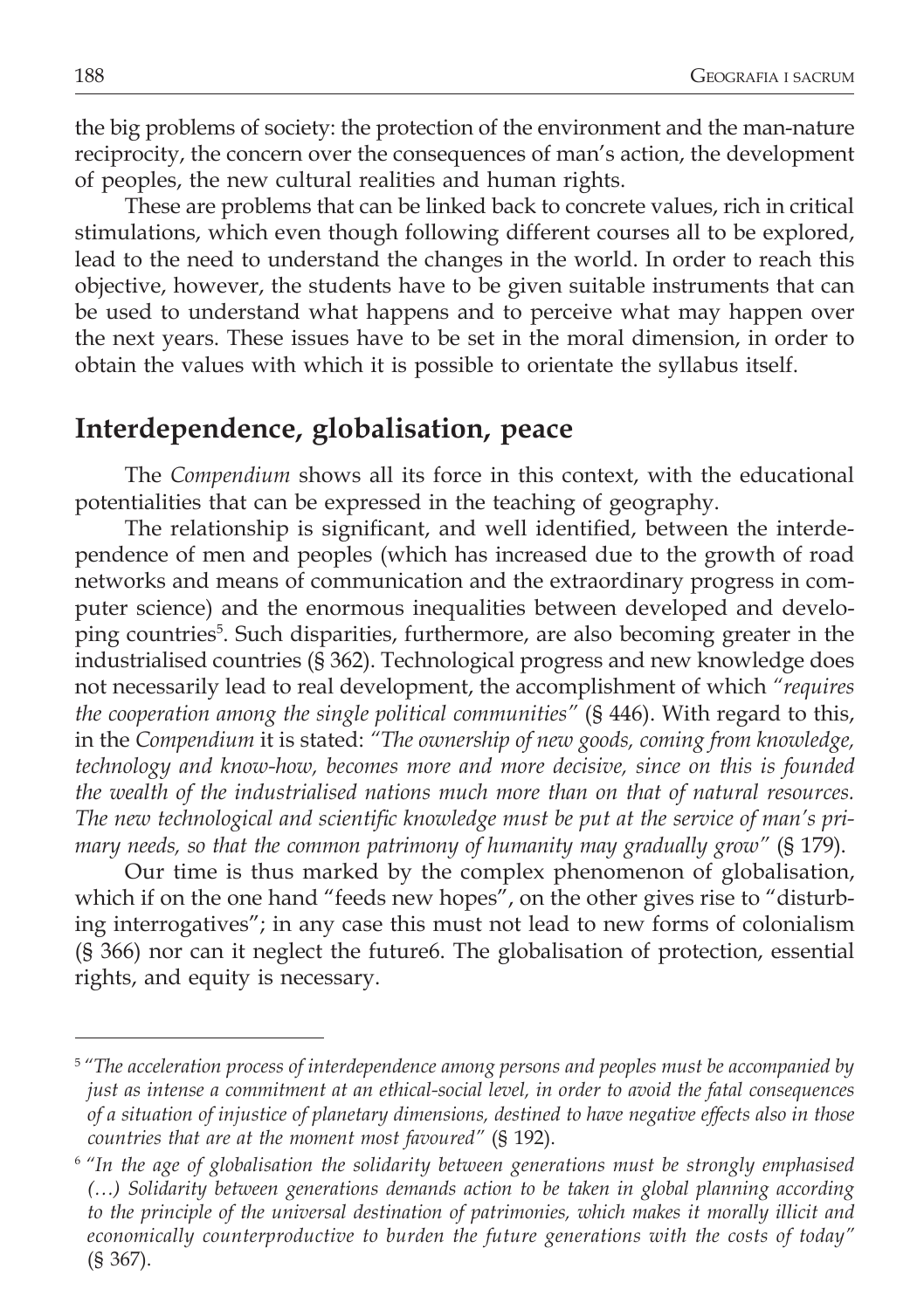the big problems of society: the protection of the environment and the man-nature reciprocity, the concern over the consequences of man's action, the development of peoples, the new cultural realities and human rights.

These are problems that can be linked back to concrete values, rich in critical stimulations, which even though following different courses all to be explored, lead to the need to understand the changes in the world. In order to reach this objective, however, the students have to be given suitable instruments that can be used to understand what happens and to perceive what may happen over the next years. These issues have to be set in the moral dimension, in order to obtain the values with which it is possible to orientate the syllabus itself.

#### **Interdependence, globalisation, peace**

The *Compendium* shows all its force in this context, with the educational potentialities that can be expressed in the teaching of geography.

The relationship is significant, and well identified, between the interdependence of men and peoples (which has increased due to the growth of road networks and means of communication and the extraordinary progress in computer science) and the enormous inequalities between developed and developing countries<sup>5</sup>. Such disparities, furthermore, are also becoming greater in the industrialised countries (§ 362). Technological progress and new knowledge does not necessarily lead to real development, the accomplishment of which *"requires the cooperation among the single political communities"* (§ 446). With regard to this, in the *Compendium* it is stated: *"The ownership of new goods, coming from knowledge, technology and know-how, becomes more and more decisive, since on this is founded the wealth of the industrialised nations much more than on that of natural resources. The new technological and scientific knowledge must be put at the service of man's primary needs, so that the common patrimony of humanity may gradually grow"* (§ 179).

Our time is thus marked by the complex phenomenon of globalisation, which if on the one hand "feeds new hopes", on the other gives rise to "disturbing interrogatives"; in any case this must not lead to new forms of colonialism (§ 366) nor can it neglect the future6. The globalisation of protection, essential rights, and equity is necessary.

<sup>5</sup>*"The acceleration process of interdependence among persons and peoples must be accompanied by just as intense a commitment at an ethical-social level, in order to avoid the fatal consequences of a situation of injustice of planetary dimensions, destined to have negative effects also in those countries that are at the moment most favoured"* (§ 192).

<sup>6</sup>*"In the age of globalisation the solidarity between generations must be strongly emphasised (…) Solidarity between generations demands action to be taken in global planning according to the principle of the universal destination of patrimonies, which makes it morally illicit and economically counterproductive to burden the future generations with the costs of today"* (§ 367).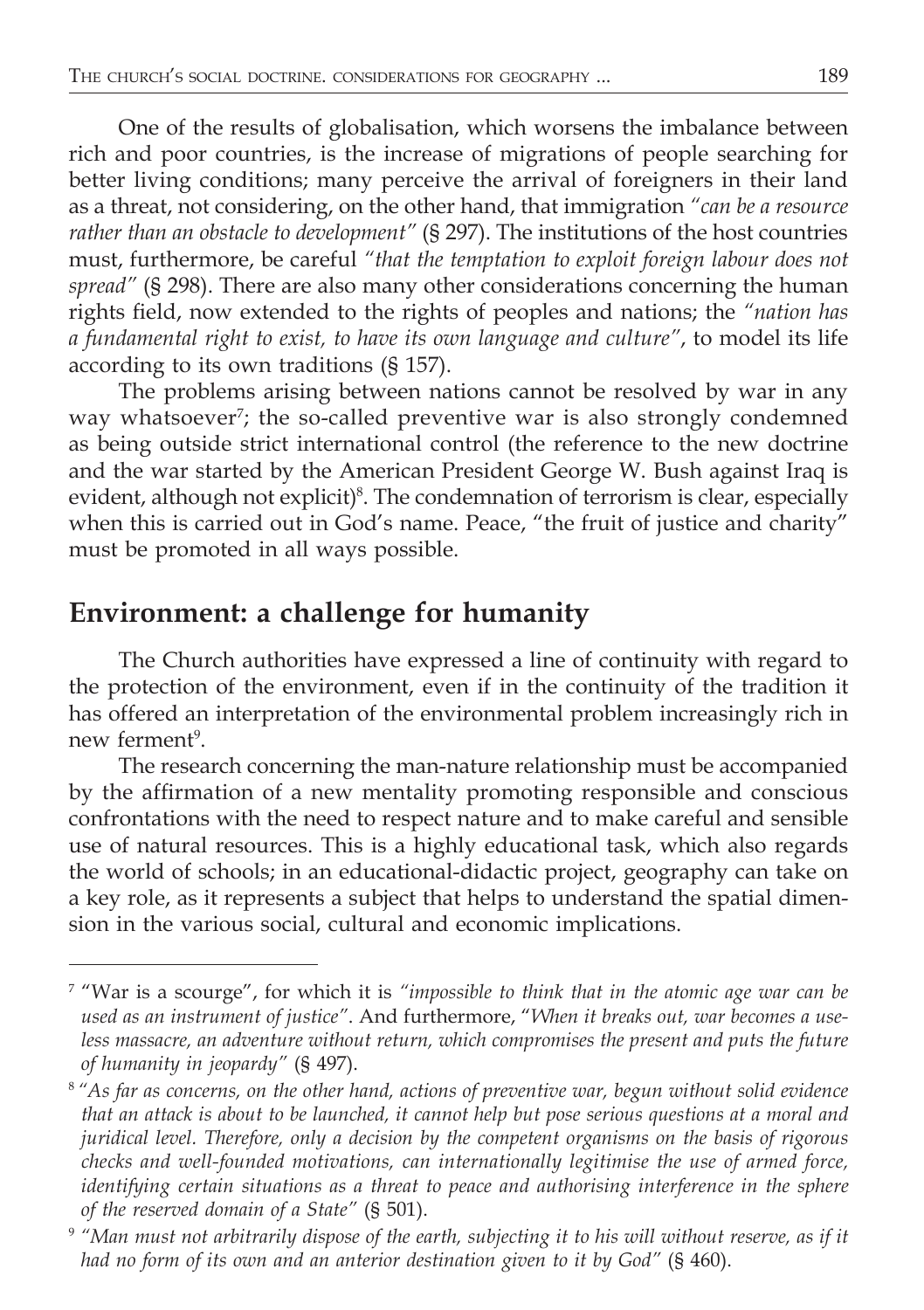One of the results of globalisation, which worsens the imbalance between rich and poor countries, is the increase of migrations of people searching for better living conditions; many perceive the arrival of foreigners in their land as a threat, not considering, on the other hand, that immigration *"can be a resource rather than an obstacle to development"* (§ 297). The institutions of the host countries must, furthermore, be careful *"that the temptation to exploit foreign labour does not spread"* (§ 298). There are also many other considerations concerning the human rights field, now extended to the rights of peoples and nations; the *"nation has a fundamental right to exist, to have its own language and culture"*, to model its life according to its own traditions (§ 157).

The problems arising between nations cannot be resolved by war in any way whatsoever<sup>7</sup> ; the so-called preventive war is also strongly condemned as being outside strict international control (the reference to the new doctrine and the war started by the American President George W. Bush against Iraq is evident, although not explicit)<sup>8</sup>. The condemnation of terrorism is clear, especially when this is carried out in God's name. Peace, "the fruit of justice and charity" must be promoted in all ways possible.

# **Environment: a challenge for humanity**

The Church authorities have expressed a line of continuity with regard to the protection of the environment, even if in the continuity of the tradition it has offered an interpretation of the environmental problem increasingly rich in new ferment<sup>9</sup>.

The research concerning the man-nature relationship must be accompanied by the affirmation of a new mentality promoting responsible and conscious confrontations with the need to respect nature and to make careful and sensible use of natural resources. This is a highly educational task, which also regards the world of schools; in an educational-didactic project, geography can take on a key role, as it represents a subject that helps to understand the spatial dimension in the various social, cultural and economic implications.

<sup>7</sup> "War is a scourge", for which it is *"impossible to think that in the atomic age war can be used as an instrument of justice"*. And furthermore, "*When it breaks out, war becomes a use*less massacre, an adventure without return, which compromises the present and puts the future *of humanity in jeopardy"* (§ 497).

<sup>8</sup>*"As far as concerns, on the other hand, actions of preventive war, begun without solid evidence that an attack is about to be launched, it cannot help but pose serious questions at a moral and juridical level. Therefore, only a decision by the competent organisms on the basis of rigorous checks and well-founded motivations, can internationally legitimise the use of armed force, identifying certain situations as a threat to peace and authorising interference in the sphere of the reserved domain of a State"* (§ 501).

<sup>9</sup> *"Man must not arbitrarily dispose of the earth, subjecting it to his will without reserve, as if it had no form of its own and an anterior destination given to it by God"* (§ 460).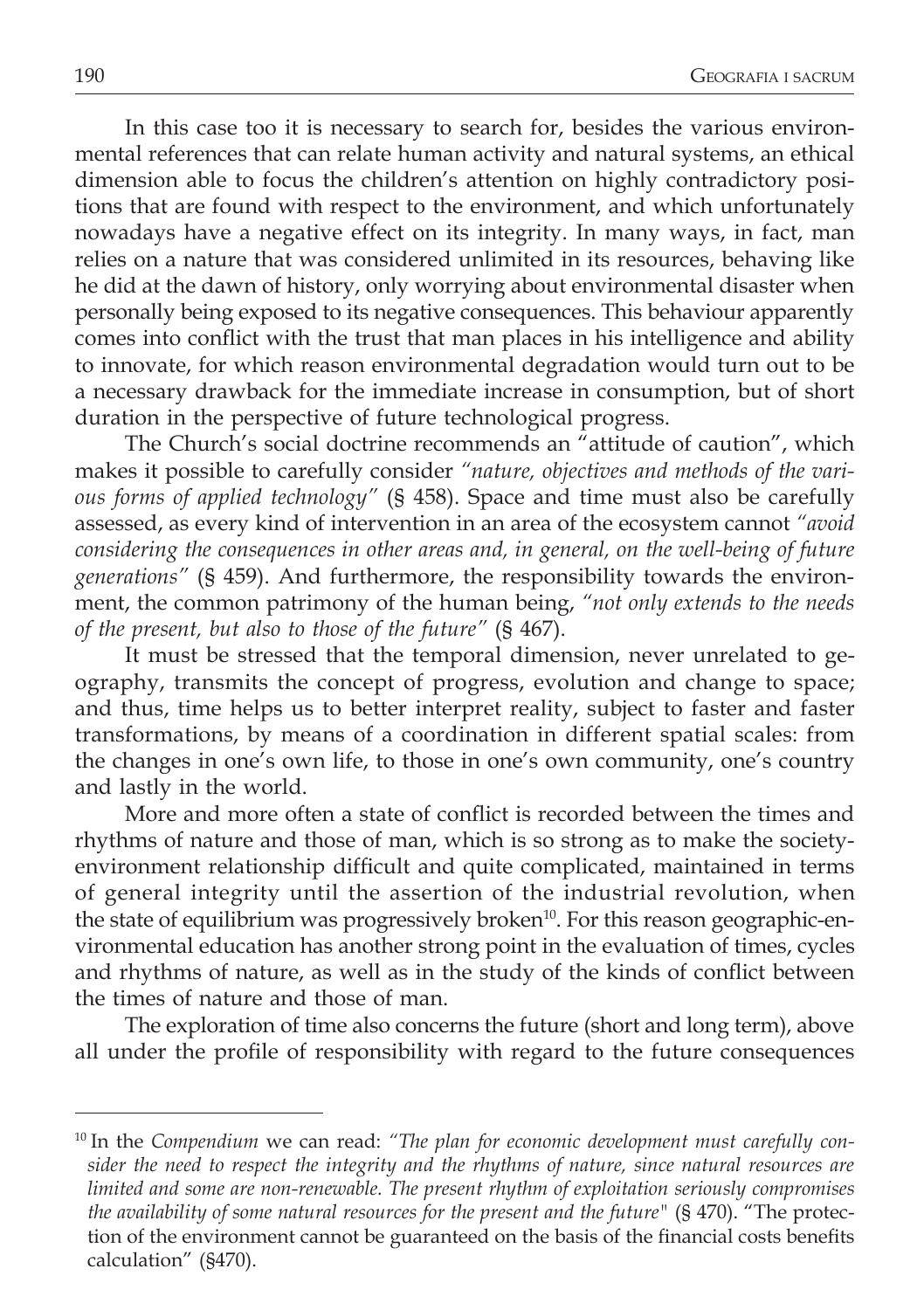In this case too it is necessary to search for, besides the various environmental references that can relate human activity and natural systems, an ethical dimension able to focus the children's attention on highly contradictory positions that are found with respect to the environment, and which unfortunately nowadays have a negative effect on its integrity. In many ways, in fact, man relies on a nature that was considered unlimited in its resources, behaving like he did at the dawn of history, only worrying about environmental disaster when personally being exposed to its negative consequences. This behaviour apparently comes into conflict with the trust that man places in his intelligence and ability to innovate, for which reason environmental degradation would turn out to be a necessary drawback for the immediate increase in consumption, but of short duration in the perspective of future technological progress.

The Church's social doctrine recommends an "attitude of caution", which makes it possible to carefully consider *"nature, objectives and methods of the various forms of applied technology"* (§ 458). Space and time must also be carefully assessed, as every kind of intervention in an area of the ecosystem cannot *"avoid considering the consequences in other areas and, in general, on the well-being of future generations"* (§ 459). And furthermore, the responsibility towards the environment, the common patrimony of the human being, *"not only extends to the needs of the present, but also to those of the future"* (§ 467).

It must be stressed that the temporal dimension, never unrelated to geography, transmits the concept of progress, evolution and change to space; and thus, time helps us to better interpret reality, subject to faster and faster transformations, by means of a coordination in different spatial scales: from the changes in one's own life, to those in one's own community, one's country and lastly in the world.

More and more often a state of conflict is recorded between the times and rhythms of nature and those of man, which is so strong as to make the societyenvironment relationship difficult and quite complicated, maintained in terms of general integrity until the assertion of the industrial revolution, when the state of equilibrium was progressively broken<sup>10</sup>. For this reason geographic-environmental education has another strong point in the evaluation of times, cycles and rhythms of nature, as well as in the study of the kinds of conflict between the times of nature and those of man.

The exploration of time also concerns the future (short and long term), above all under the profile of responsibility with regard to the future consequences

<sup>&</sup>lt;sup>10</sup> In the *Compendium* we can read: "The plan for economic development must carefully con*sider the need to respect the integrity and the rhythms of nature, since natural resources are limited and some are non-renewable. The present rhythm of exploitation seriously compromises the availability of some natural resources for the present and the future"* (§ 470). "The protection of the environment cannot be guaranteed on the basis of the financial costs benefits calculation" (§470).